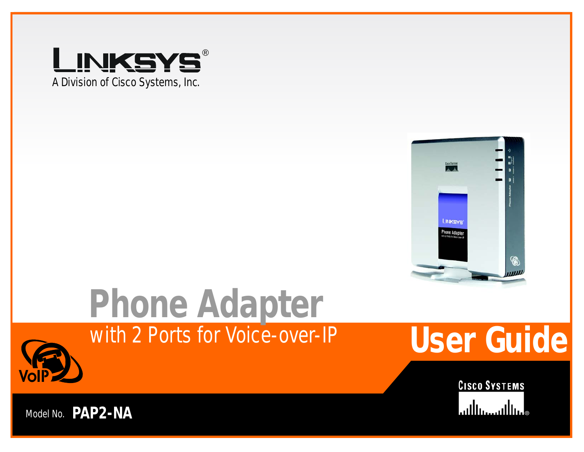



# with 2 Ports for Voice-over-IP **Phone Adapter**



**User Guide**



Model No. **PAP2-NA**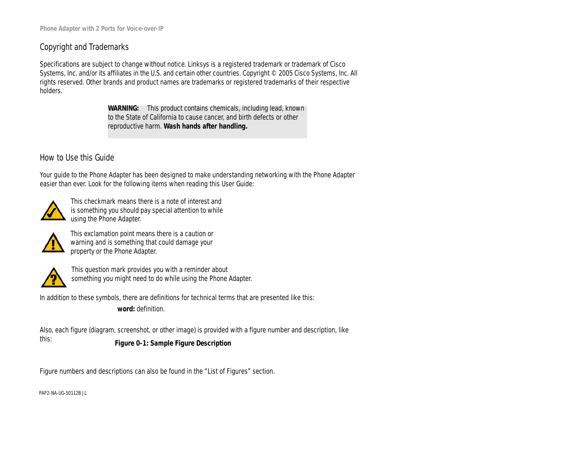### Copyright and Trademarks

Specifications are subject to change without notice. Linksys is a registered trademark or trademark of Cisco Systems, Inc. and/or its affiliates in the U.S. and certain other countries. Copyright © 2005 Cisco Systems, Inc. All rights reserved. Other brands and product names are trademarks or registered trademarks of their respective holders.

> **WARNING:** This product contains chemicals, including lead, known to the State of California to cause cancer, and birth defects or other reproductive harm. *Wash hands after handling.*

### How to Use this Guide

Your guide to the Phone Adapter has been designed to make understanding networking with the Phone Adapter easier than ever. Look for the following items when reading this User Guide:



This checkmark means there is a note of interest and is something you should pay special attention to while using the Phone Adapter.



This exclamation point means there is a caution or warning and is something that could damage your property or the Phone Adapter.



This question mark provides you with a reminder about something you might need to do while using the Phone Adapter.

In addition to these symbols, there are definitions for technical terms that are presented like this: *word: definition.*

Also, each figure (diagram, screenshot, or other image) is provided with a figure number and description, like this: **Figure 0-1: Sample Figure Description**

Figure numbers and descriptions can also be found in the "List of Figures" section.

PAP2-NA-UG-50112B JL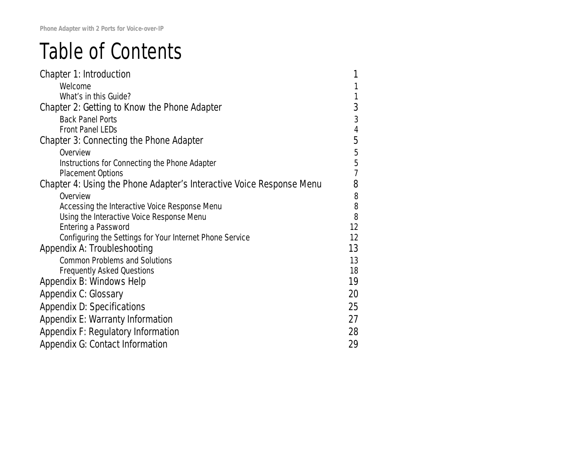# Table of Contents

| <b>Chapter 1: Introduction</b>                                       | 1              |
|----------------------------------------------------------------------|----------------|
| Welcome                                                              |                |
| What's in this Guide?                                                | 1              |
| Chapter 2: Getting to Know the Phone Adapter                         | 3              |
| <b>Back Panel Ports</b>                                              | 3              |
| <b>Front Panel LEDs</b>                                              | 4              |
| Chapter 3: Connecting the Phone Adapter                              | 5              |
| Overview                                                             | 5              |
| Instructions for Connecting the Phone Adapter                        | 5              |
| <b>Placement Options</b>                                             | $\overline{1}$ |
| Chapter 4: Using the Phone Adapter's Interactive Voice Response Menu | 8              |
| Overview                                                             | 8              |
| Accessing the Interactive Voice Response Menu                        | 8              |
| Using the Interactive Voice Response Menu                            | 8              |
| <b>Entering a Password</b>                                           | 12             |
| Configuring the Settings for Your Internet Phone Service             | 12             |
| Appendix A: Troubleshooting                                          | 13             |
| <b>Common Problems and Solutions</b>                                 | 13             |
| <b>Frequently Asked Questions</b>                                    | 18             |
| Appendix B: Windows Help                                             | 19             |
| <b>Appendix C: Glossary</b>                                          | 20             |
| <b>Appendix D: Specifications</b>                                    | 25             |
| <b>Appendix E: Warranty Information</b>                              | 27             |
| <b>Appendix F: Regulatory Information</b>                            | 28             |
| <b>Appendix G: Contact Information</b>                               | 29             |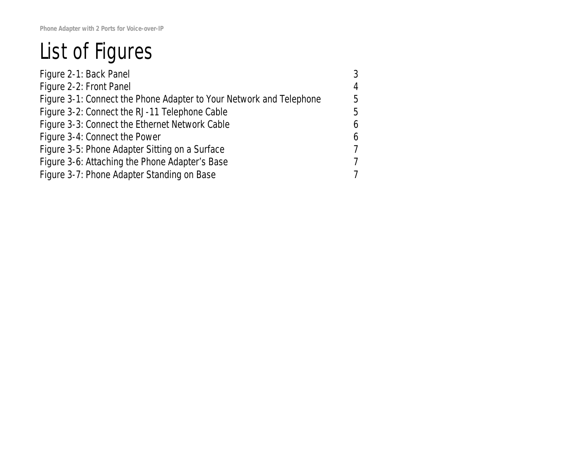# List of Figures

| Figure 2-1: Back Panel                                              | 3              |
|---------------------------------------------------------------------|----------------|
| Figure 2-2: Front Panel                                             | 4              |
| Figure 3-1: Connect the Phone Adapter to Your Network and Telephone | 5              |
| Figure 3-2: Connect the RJ-11 Telephone Cable                       | 5              |
| Figure 3-3: Connect the Ethernet Network Cable                      | 6              |
| Figure 3-4: Connect the Power                                       | 6              |
| Figure 3-5: Phone Adapter Sitting on a Surface                      | $\overline{7}$ |
| Figure 3-6: Attaching the Phone Adapter's Base                      | $\overline{7}$ |
| Figure 3-7: Phone Adapter Standing on Base                          | $\overline{7}$ |
|                                                                     |                |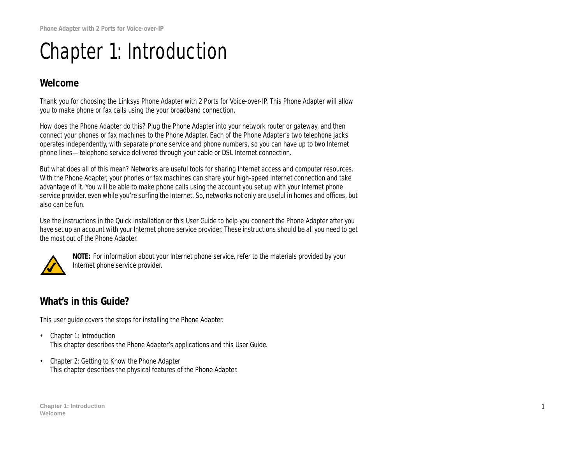# Chapter 1: Introduction

## **Welcome**

Thank you for choosing the Linksys Phone Adapter with 2 Ports for Voice-over-IP. This Phone Adapter will allow you to make phone or fax calls using the your broadband connection.

How does the Phone Adapter do this? Plug the Phone Adapter into your network router or gateway, and then connect your phones or fax machines to the Phone Adapter. Each of the Phone Adapter's two telephone jacks operates independently, with separate phone service and phone numbers, so you can have up to two Internet phone lines—telephone service delivered through your cable or DSL Internet connection.

But what does all of this mean? Networks are useful tools for sharing Internet access and computer resources. With the Phone Adapter, your phones or fax machines can share your high-speed Internet connection and take advantage of it. You will be able to make phone calls using the account you set up with your Internet phone service provider, even while you're surfing the Internet. So, networks not only are useful in homes and offices, but also can be fun.

Use the instructions in the Quick Installation or this User Guide to help you connect the Phone Adapter after you have set up an account with your Internet phone service provider. These instructions should be all you need to get the most out of the Phone Adapter.



**NOTE:** For information about your Internet phone service, refer to the materials provided by your Internet phone service provider.

## **What's in this Guide?**

This user guide covers the steps for installing the Phone Adapter.

- Chapter 1: Introduction This chapter describes the Phone Adapter's applications and this User Guide.
- Chapter 2: Getting to Know the Phone Adapter This chapter describes the physical features of the Phone Adapter.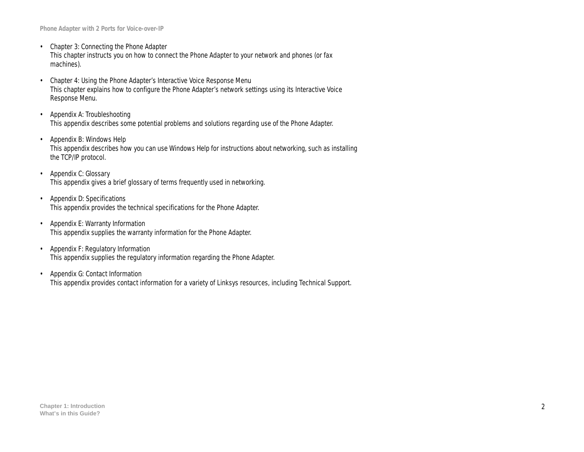- Chapter 3: Connecting the Phone Adapter This chapter instructs you on how to connect the Phone Adapter to your network and phones (or fax machines).
- Chapter 4: Using the Phone Adapter's Interactive Voice Response Menu This chapter explains how to configure the Phone Adapter's network settings using its Interactive Voice Response Menu.
- Appendix A: Troubleshooting This appendix describes some potential problems and solutions regarding use of the Phone Adapter.
- Appendix B: Windows Help This appendix describes how you can use Windows Help for instructions about networking, such as installing the TCP/IP protocol.
- Appendix C: Glossary This appendix gives a brief glossary of terms frequently used in networking.
- Appendix D: Specifications This appendix provides the technical specifications for the Phone Adapter.
- Appendix E: Warranty Information This appendix supplies the warranty information for the Phone Adapter.
- Appendix F: Regulatory Information This appendix supplies the regulatory information regarding the Phone Adapter.
- Appendix G: Contact Information This appendix provides contact information for a variety of Linksys resources, including Technical Support.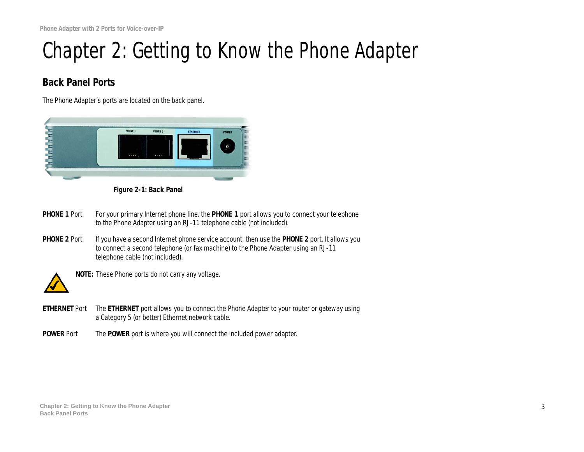## Chapter 2: Getting to Know the Phone Adapter

## **Back Panel Ports**

The Phone Adapter's ports are located on the back panel.



**Figure 2-1: Back Panel**

- **PHONE 1** Port For your primary Internet phone line, the **PHONE 1** port allows you to connect your telephone to the Phone Adapter using an RJ-11 telephone cable (not included).
- **PHONE 2** Port If you have a second Internet phone service account, then use the **PHONE 2** port. It allows you to connect a second telephone (or fax machine) to the Phone Adapter using an RJ-11 telephone cable (not included).



**NOTE:** These Phone ports do not carry any voltage.

- **ETHERNET** Port The **ETHERNET** port allows you to connect the Phone Adapter to your router or gateway using a Category 5 (or better) Ethernet network cable.
- **POWER** Port The **POWER** port is where you will connect the included power adapter.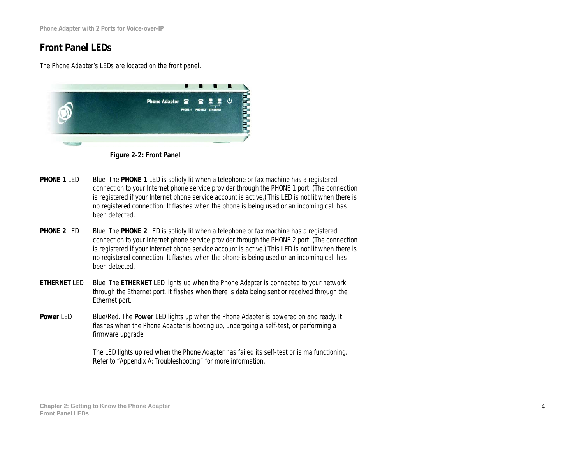## **Front Panel LEDs**

The Phone Adapter's LEDs are located on the front panel.



**Figure 2-2: Front Panel**

- **PHONE 1 LED** Blue. The **PHONE 1** LED is solidly lit when a telephone or fax machine has a registered connection to your Internet phone service provider through the PHONE 1 port. (The connection is registered if your Internet phone service account is active.) This LED is not lit when there is no registered connection. It flashes when the phone is being used or an incoming call has been detected.
- **PHONE 2 LED** Blue. The **PHONE 2** LED is solidly lit when a telephone or fax machine has a registered connection to your Internet phone service provider through the PHONE 2 port. (The connection is registered if your Internet phone service account is active.) This LED is not lit when there is no registered connection. It flashes when the phone is being used or an incoming call has been detected.
- **ETHERNET** LED Blue. The **ETHERNET** LED lights up when the Phone Adapter is connected to your network through the Ethernet port. It flashes when there is data being sent or received through the Ethernet port.
- **Power LED Blue/Red. The Power LED lights up when the Phone Adapter is powered on and ready. It** flashes when the Phone Adapter is booting up, undergoing a self-test, or performing a firmware upgrade.

The LED lights up red when the Phone Adapter has failed its self-test or is malfunctioning. Refer to "Appendix A: Troubleshooting" for more information.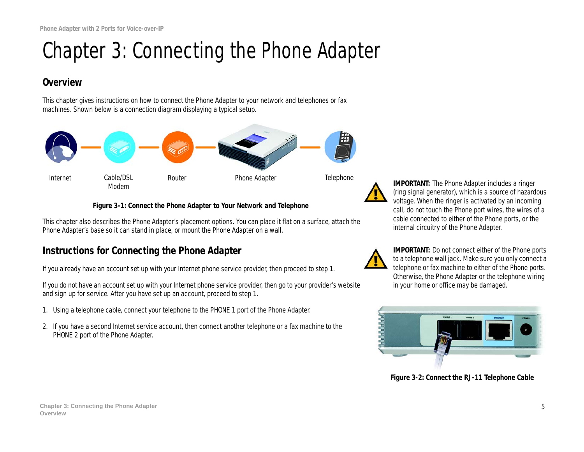# Chapter 3: Connecting the Phone Adapter

### **Overview**

This chapter gives instructions on how to connect the Phone Adapter to your network and telephones or fax machines. Shown below is a connection diagram displaying a typical setup.



**Figure 3-1: Connect the Phone Adapter to Your Network and Telephone**

This chapter also describes the Phone Adapter's placement options. You can place it flat on a surface, attach the Phone Adapter's base so it can stand in place, or mount the Phone Adapter on a wall.

## **Instructions for Connecting the Phone Adapter**

If you already have an account set up with your Internet phone service provider, then proceed to step 1.

If you do not have an account set up with your Internet phone service provider, then go to your provider's website and sign up for service. After you have set up an account, proceed to step 1.

- 1. Using a telephone cable, connect your telephone to the PHONE 1 port of the Phone Adapter.
- 2. If you have a second Internet service account, then connect another telephone or a fax machine to the PHONE 2 port of the Phone Adapter.

**IMPORTANT:** The Phone Adapter includes a ringer (ring signal generator), which is a source of hazardous voltage. When the ringer is activated by an incoming call, do not touch the Phone port wires, the wires of a cable connected to either of the Phone ports, or the internal circuitry of the Phone Adapter.

**IMPORTANT:** Do not connect either of the Phone ports to a telephone wall jack. Make sure you only connect a telephone or fax machine to either of the Phone ports. Otherwise, the Phone Adapter or the telephone wiring in your home or office may be damaged.



**Figure 3-2: Connect the RJ-11 Telephone Cable**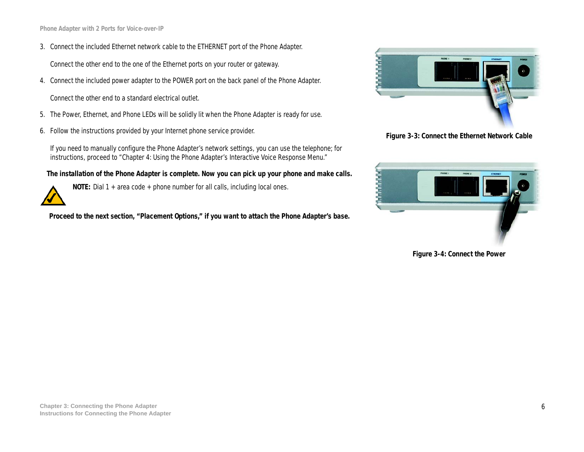3. Connect the included Ethernet network cable to the ETHERNET port of the Phone Adapter.

Connect the other end to the one of the Ethernet ports on your router or gateway.

4. Connect the included power adapter to the POWER port on the back panel of the Phone Adapter.

Connect the other end to a standard electrical outlet.

- 5. The Power, Ethernet, and Phone LEDs will be solidly lit when the Phone Adapter is ready for use.
- 6. Follow the instructions provided by your Internet phone service provider.

If you need to manually configure the Phone Adapter's network settings, you can use the telephone; for instructions, proceed to "Chapter 4: Using the Phone Adapter's Interactive Voice Response Menu."

**The installation of the Phone Adapter is complete. Now you can pick up your phone and make calls.**



**NOTE:** Dial 1 + area code + phone number for all calls, including local ones.

**Proceed to the next section, "Placement Options," if you want to attach the Phone Adapter's base.**



**Figure 3-3: Connect the Ethernet Network Cable**



**Figure 3-4: Connect the Power**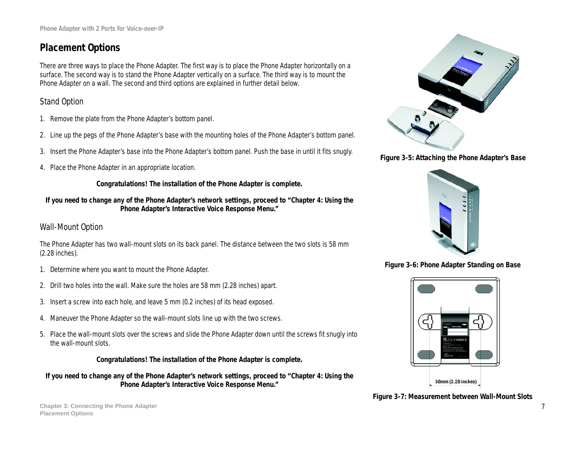## **Placement Options**

There are three ways to place the Phone Adapter. The first way is to place the Phone Adapter horizontally on a surface. The second way is to stand the Phone Adapter vertically on a surface. The third way is to mount the Phone Adapter on a wall. The second and third options are explained in further detail below.

### Stand Option

- 1. Remove the plate from the Phone Adapter's bottom panel.
- 2. Line up the pegs of the Phone Adapter's base with the mounting holes of the Phone Adapter's bottom panel.
- 3. Insert the Phone Adapter's base into the Phone Adapter's bottom panel. Push the base in until it fits snugly.
- 4. Place the Phone Adapter in an appropriate location.

**Congratulations! The installation of the Phone Adapter is complete.**

**If you need to change any of the Phone Adapter's network settings, proceed to "Chapter 4: Using the Phone Adapter's Interactive Voice Response Menu."**

### Wall-Mount Option

The Phone Adapter has two wall-mount slots on its back panel. The distance between the two slots is 58 mm (2.28 inches).

- 1. Determine where you want to mount the Phone Adapter.
- 2. Drill two holes into the wall. Make sure the holes are 58 mm (2.28 inches) apart.
- 3. Insert a screw into each hole, and leave 5 mm (0.2 inches) of its head exposed.
- 4. Maneuver the Phone Adapter so the wall-mount slots line up with the two screws.
- 5. Place the wall-mount slots over the screws and slide the Phone Adapter down until the screws fit snugly into the wall-mount slots.

**Congratulations! The installation of the Phone Adapter is complete.**

**If you need to change any of the Phone Adapter's network settings, proceed to "Chapter 4: Using the Phone Adapter's Interactive Voice Response Menu."**



**Figure 3-5: Attaching the Phone Adapter's Base**









**Chapter 3: Connecting the Phone Adapter** 7 **Placement Options**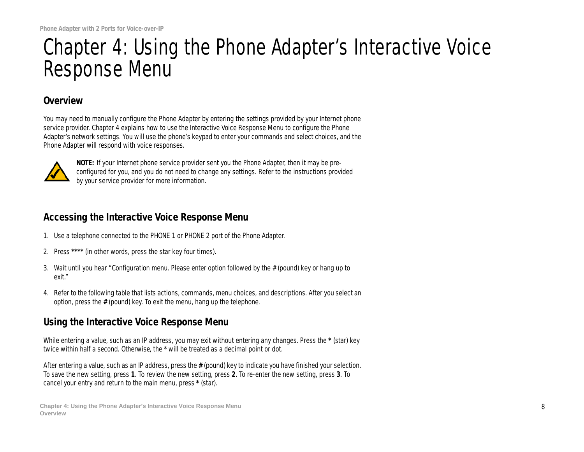## Chapter 4: Using the Phone Adapter's Interactive Voice Response Menu

### **Overview**

You may need to manually configure the Phone Adapter by entering the settings provided by your Internet phone service provider. Chapter 4 explains how to use the Interactive Voice Response Menu to configure the Phone Adapter's network settings. You will use the phone's keypad to enter your commands and select choices, and the Phone Adapter will respond with voice responses.



**NOTE:** If your Internet phone service provider sent you the Phone Adapter, then it may be preconfigured for you, and you do not need to change any settings. Refer to the instructions provided by your service provider for more information.

## **Accessing the Interactive Voice Response Menu**

- 1. Use a telephone connected to the PHONE 1 or PHONE 2 port of the Phone Adapter.
- 2. Press **\*\*\*\*** (in other words, press the star key four times).
- 3. Wait until you hear "Configuration menu. Please enter option followed by the # (pound) key or hang up to exit."
- 4. Refer to the following table that lists actions, commands, menu choices, and descriptions. After you select an option, press the **#** (pound) key. To exit the menu, hang up the telephone.

## **Using the Interactive Voice Response Menu**

While entering a value, such as an IP address, you may exit without entering any changes. Press the **\*** (star) key twice within half a second. Otherwise, the \* will be treated as a decimal point or dot.

After entering a value, such as an IP address, press the **#** (pound) key to indicate you have finished your selection. To save the new setting, press **1**. To review the new setting, press **2**. To re-enter the new setting, press **3**. To cancel your entry and return to the main menu, press **\*** (star).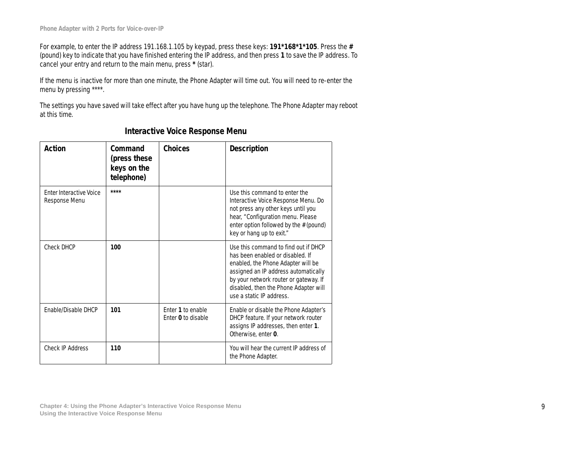For example, to enter the IP address *191.168.1.105* by keypad, press these keys: **191\*168\*1\*105**. Press the **#** (pound) key to indicate that you have finished entering the IP address, and then press **1** to save the IP address. To cancel your entry and return to the main menu, press **\*** (star).

If the menu is inactive for more than one minute, the Phone Adapter will time out. You will need to re-enter the menu by pressing \*\*\*\*.

The settings you have saved will take effect after you have hung up the telephone. The Phone Adapter may reboot at this time.

| <b>Action</b>                                          | Command<br>(press these<br>keys on the<br>telephone) | <b>Choices</b>                          | <b>Description</b>                                                                                                                                                                                                                                                   |
|--------------------------------------------------------|------------------------------------------------------|-----------------------------------------|----------------------------------------------------------------------------------------------------------------------------------------------------------------------------------------------------------------------------------------------------------------------|
| <b>Enter Interactive Voice</b><br><b>Response Menu</b> | ****                                                 |                                         | Use this command to enter the<br>Interactive Voice Response Menu. Do<br>not press any other keys until you<br>hear, "Configuration menu. Please<br>enter option followed by the # (pound)<br>key or hang up to exit."                                                |
| <b>Check DHCP</b>                                      | 100                                                  |                                         | Use this command to find out if DHCP<br>has been enabled or disabled. If<br>enabled, the Phone Adapter will be<br>assigned an IP address automatically<br>by your network router or gateway. If<br>disabled, then the Phone Adapter will<br>use a static IP address. |
| <b>Fnable/Disable DHCP</b>                             | 101                                                  | Fnter 1 to enable<br>Enter 0 to disable | Enable or disable the Phone Adapter's<br>DHCP feature. If your network router<br>assigns IP addresses, then enter 1.<br>Otherwise, enter 0.                                                                                                                          |
| <b>Check IP Address</b>                                | 110                                                  |                                         | You will hear the current IP address of<br>the Phone Adapter.                                                                                                                                                                                                        |

### **Interactive Voice Response Menu**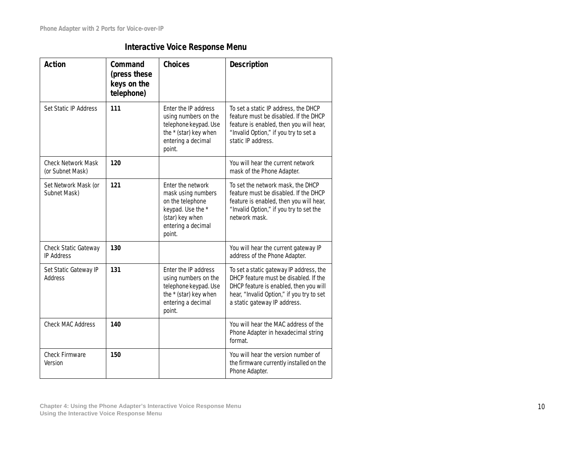## **Interactive Voice Response Menu**

| <b>Action</b>                                    | <b>Command</b><br>(press these<br>keys on the<br>telephone) | <b>Choices</b>                                                                                                                      | <b>Description</b>                                                                                                                                                                                      |
|--------------------------------------------------|-------------------------------------------------------------|-------------------------------------------------------------------------------------------------------------------------------------|---------------------------------------------------------------------------------------------------------------------------------------------------------------------------------------------------------|
| <b>Set Static IP Address</b>                     | 111                                                         | Enter the IP address<br>using numbers on the<br>telephone keypad. Use<br>the * (star) key when<br>entering a decimal<br>point.      | To set a static IP address, the DHCP<br>feature must be disabled. If the DHCP<br>feature is enabled, then you will hear,<br>"Invalid Option," if you try to set a<br>static IP address.                 |
| <b>Check Network Mask</b><br>(or Subnet Mask)    | 120                                                         |                                                                                                                                     | You will hear the current network<br>mask of the Phone Adapter.                                                                                                                                         |
| Set Network Mask (or<br>Subnet Mask)             | 121                                                         | Enter the network<br>mask using numbers<br>on the telephone<br>keypad. Use the *<br>(star) key when<br>entering a decimal<br>point. | To set the network mask, the DHCP<br>feature must be disabled. If the DHCP<br>feature is enabled, then you will hear,<br>"Invalid Option," if you try to set the<br>network mask.                       |
| <b>Check Static Gateway</b><br><b>IP Address</b> | 130                                                         |                                                                                                                                     | You will hear the current gateway IP<br>address of the Phone Adapter.                                                                                                                                   |
| Set Static Gateway IP<br><b>Address</b>          | 131                                                         | Enter the IP address<br>using numbers on the<br>telephone keypad. Use<br>the * (star) key when<br>entering a decimal<br>point.      | To set a static gateway IP address, the<br>DHCP feature must be disabled. If the<br>DHCP feature is enabled, then you will<br>hear, "Invalid Option," if you try to set<br>a static gateway IP address. |
| <b>Check MAC Address</b>                         | 140                                                         |                                                                                                                                     | You will hear the MAC address of the<br>Phone Adapter in hexadecimal string<br>format.                                                                                                                  |
| <b>Check Firmware</b><br>Version                 | 150                                                         |                                                                                                                                     | You will hear the version number of<br>the firmware currently installed on the<br>Phone Adapter.                                                                                                        |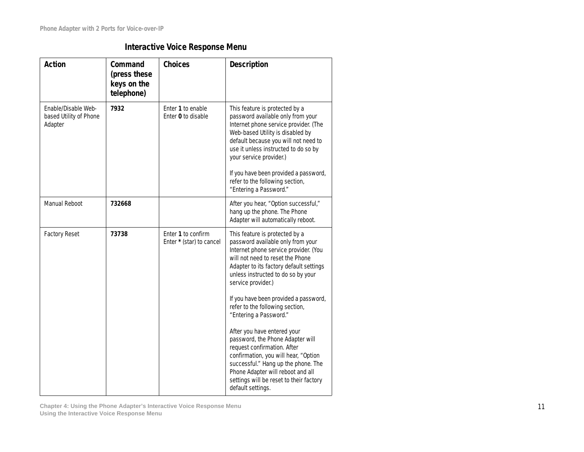## **Interactive Voice Response Menu**

| <b>Action</b>                                            | Command<br>(press these<br>keys on the<br>telephone) | <b>Choices</b>                                 | <b>Description</b>                                                                                                                                                                                                                                                                                                                                                |
|----------------------------------------------------------|------------------------------------------------------|------------------------------------------------|-------------------------------------------------------------------------------------------------------------------------------------------------------------------------------------------------------------------------------------------------------------------------------------------------------------------------------------------------------------------|
| Enable/Disable Web-<br>based Utility of Phone<br>Adapter | 7932                                                 | Enter 1 to enable<br>Enter 0 to disable        | This feature is protected by a<br>password available only from your<br>Internet phone service provider. (The<br>Web-based Utility is disabled by<br>default because you will not need to<br>use it unless instructed to do so by<br>your service provider.)<br>If you have been provided a password,<br>refer to the following section,<br>"Entering a Password." |
| <b>Manual Reboot</b>                                     | 732668                                               |                                                | After you hear, "Option successful,"<br>hang up the phone. The Phone<br>Adapter will automatically reboot.                                                                                                                                                                                                                                                        |
| <b>Factory Reset</b>                                     | 73738                                                | Enter 1 to confirm<br>Enter * (star) to cancel | This feature is protected by a<br>password available only from your<br>Internet phone service provider. (You<br>will not need to reset the Phone<br>Adapter to its factory default settings<br>unless instructed to do so by your<br>service provider.)<br>If you have been provided a password,<br>refer to the following section,<br>"Entering a Password."     |
|                                                          |                                                      |                                                | After you have entered your<br>password, the Phone Adapter will<br>request confirmation. After<br>confirmation, you will hear, "Option<br>successful." Hang up the phone. The<br>Phone Adapter will reboot and all<br>settings will be reset to their factory<br>default settings.                                                                                |

**Chapter 4: Using the Phone Adapter's Interactive Voice Response Menu** 11 **Using the Interactive Voice Response Menu**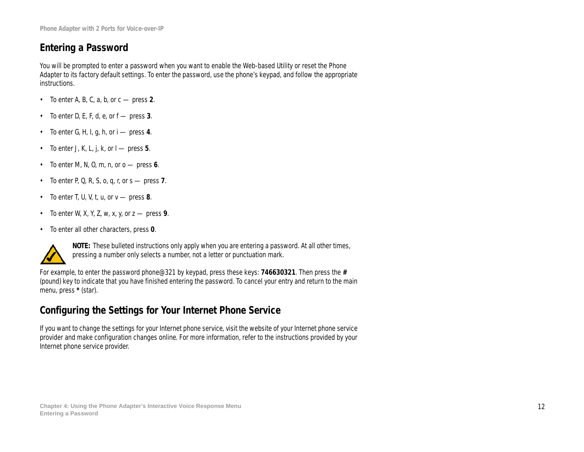## **Entering a Password**

You will be prompted to enter a password when you want to enable the Web-based Utility or reset the Phone Adapter to its factory default settings. To enter the password, use the phone's keypad, and follow the appropriate instructions.

- To enter  $A$ ,  $B$ ,  $C$ ,  $a$ ,  $b$ ,  $or c$  press 2.
- To enter D, E, F, d, e, or f press **3**.
- To enter G, H, I, g, h, or i press **4**.
- To enter  $J, K, L, j, k$ , or  $I$  press 5.
- To enter M, N, O, m, n, or  $o$  press 6.
- To enter  $P_i$  Q, R, S, o, q, r, or  $s$  press 7.
- To enter T, U, V, t, u, or  $v -$  press 8.
- To enter W, X, Y, Z, w, x, y, or  $z$  press 9.
- To enter all other characters, press **0**.



**NOTE:** These bulleted instructions only apply when you are entering a password. At all other times, pressing a number only selects a number, not a letter or punctuation mark.

For example, to enter the password *phone@321* by keypad, press these keys: **746630321**. Then press the **#** (pound) key to indicate that you have finished entering the password. To cancel your entry and return to the main menu, press **\*** (star).

## **Configuring the Settings for Your Internet Phone Service**

If you want to change the settings for your Internet phone service, visit the website of your Internet phone service provider and make configuration changes online. For more information, refer to the instructions provided by your Internet phone service provider.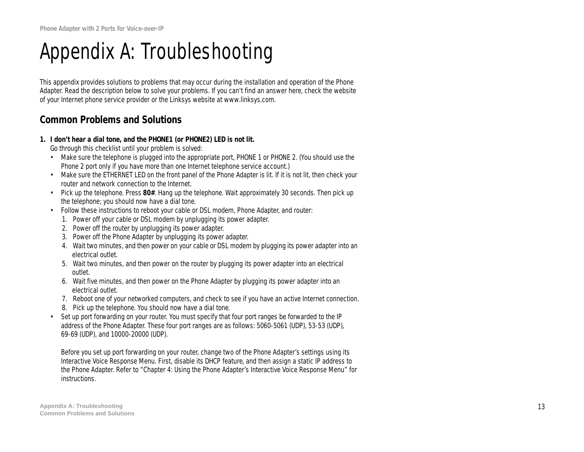# Appendix A: Troubleshooting

This appendix provides solutions to problems that may occur during the installation and operation of the Phone Adapter. Read the description below to solve your problems. If you can't find an answer here, check the website of your Internet phone service provider or the Linksys website at *www.linksys.com*.

## **Common Problems and Solutions**

*1. I don't hear a dial tone, and the PHONE1 (or PHONE2) LED is not lit.*

Go through this checklist until your problem is solved:

- Make sure the telephone is plugged into the appropriate port, PHONE 1 or PHONE 2. (You should use the Phone 2 port only if you have more than one Internet telephone service account.)
- Make sure the ETHERNET LED on the front panel of the Phone Adapter is lit. If it is not lit, then check your router and network connection to the Internet.
- Pick up the telephone. Press **80#**. Hang up the telephone. Wait approximately 30 seconds. Then pick up the telephone; you should now have a dial tone.
- Follow these instructions to reboot your cable or DSL modem, Phone Adapter, and router:
	- 1. Power off your cable or DSL modem by unplugging its power adapter.
	- 2. Power off the router by unplugging its power adapter.
	- 3. Power off the Phone Adapter by unplugging its power adapter.
	- 4. Wait two minutes, and then power on your cable or DSL modem by plugging its power adapter into an electrical outlet.
	- 5. Wait two minutes, and then power on the router by plugging its power adapter into an electrical outlet.
	- 6. Wait five minutes, and then power on the Phone Adapter by plugging its power adapter into an electrical outlet.
	- 7. Reboot one of your networked computers, and check to see if you have an active Internet connection.
	- 8. Pick up the telephone. You should now have a dial tone.
- Set up port forwarding on your router. You must specify that four port ranges be forwarded to the IP address of the Phone Adapter. These four port ranges are as follows: 5060-5061 (UDP), 53-53 (UDP), 69-69 (UDP), and 10000-20000 (UDP).

Before you set up port forwarding on your router, change two of the Phone Adapter's settings using its Interactive Voice Response Menu. First, disable its DHCP feature, and then assign a static IP address to the Phone Adapter. Refer to "Chapter 4: Using the Phone Adapter's Interactive Voice Response Menu" for instructions.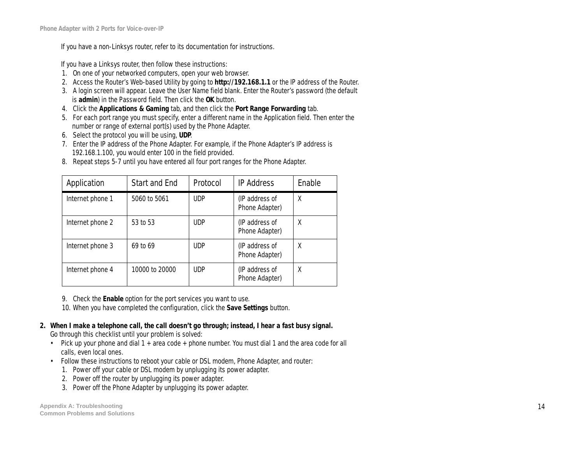If you have a non-Linksys router, refer to its documentation for instructions.

If you have a Linksys router, then follow these instructions:

- 1. On one of your networked computers, open your web browser.
- 2. Access the Router's Web-based Utility by going to **http://192.168.1.1** or the IP address of the Router.
- 3. A login screen will appear. Leave the *User Name* field blank. Enter the Router's password (the default is **admin**) in the *Password* field. Then click the **OK** button.
- 4. Click the **Applications & Gaming** tab, and then click the **Port Range Forwarding** tab.
- 5. For each port range you must specify, enter a different name in the *Application* field. Then enter the number or range of external port(s) used by the Phone Adapter.
- 6. Select the protocol you will be using, **UDP**.
- 7. Enter the IP address of the Phone Adapter. For example, if the Phone Adapter's IP address is 192.168.1.100, you would enter 100 in the field provided.

| Application      | <b>Start and End</b> | Protocol   | <b>IP Address</b>                | Enable |
|------------------|----------------------|------------|----------------------------------|--------|
| Internet phone 1 | 5060 to 5061         | <b>UDP</b> | (IP address of<br>Phone Adapter) | χ      |
| Internet phone 2 | 53 to 53             | UDP        | (IP address of<br>Phone Adapter) | χ      |
| Internet phone 3 | 69 to 69             | UDP        | (IP address of<br>Phone Adapter) | χ      |
| Internet phone 4 | 10000 to 20000       | <b>UDP</b> | (IP address of<br>Phone Adapter) | χ      |

8. Repeat steps 5-7 until you have entered all four port ranges for the Phone Adapter.

- 9. Check the **Enable** option for the port services you want to use.
- 10. When you have completed the configuration, click the **Save Settings** button.
- *2. When I make a telephone call, the call doesn't go through; instead, I hear a fast busy signal.* Go through this checklist until your problem is solved:
	- Pick up your phone and dial 1 + area code + phone number. You must dial 1 and the area code for all calls, even local ones.
	- Follow these instructions to reboot your cable or DSL modem, Phone Adapter, and router:
		- 1. Power off your cable or DSL modem by unplugging its power adapter.
		- 2. Power off the router by unplugging its power adapter.
		- 3. Power off the Phone Adapter by unplugging its power adapter.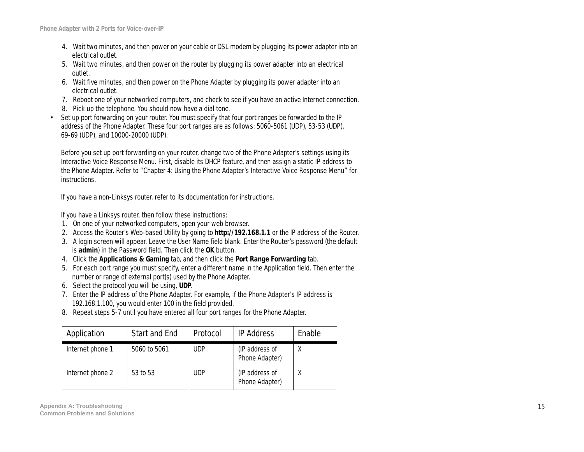- 4. Wait two minutes, and then power on your cable or DSL modem by plugging its power adapter into an electrical outlet.
- 5. Wait two minutes, and then power on the router by plugging its power adapter into an electrical outlet.
- 6. Wait five minutes, and then power on the Phone Adapter by plugging its power adapter into an electrical outlet.
- 7. Reboot one of your networked computers, and check to see if you have an active Internet connection.
- 8. Pick up the telephone. You should now have a dial tone.
- Set up port forwarding on your router. You must specify that four port ranges be forwarded to the IP address of the Phone Adapter. These four port ranges are as follows: 5060-5061 (UDP), 53-53 (UDP), 69-69 (UDP), and 10000-20000 (UDP).

Before you set up port forwarding on your router, change two of the Phone Adapter's settings using its Interactive Voice Response Menu. First, disable its DHCP feature, and then assign a static IP address to the Phone Adapter. Refer to "Chapter 4: Using the Phone Adapter's Interactive Voice Response Menu" for instructions.

If you have a non-Linksys router, refer to its documentation for instructions.

If you have a Linksys router, then follow these instructions:

- 1. On one of your networked computers, open your web browser.
- 2. Access the Router's Web-based Utility by going to **http://192.168.1.1** or the IP address of the Router.
- 3. A login screen will appear. Leave the *User Name* field blank. Enter the Router's password (the default is **admin**) in the *Password* field. Then click the **OK** button.
- 4. Click the **Applications & Gaming** tab, and then click the **Port Range Forwarding** tab.
- 5. For each port range you must specify, enter a different name in the *Application* field. Then enter the number or range of external port(s) used by the Phone Adapter.
- 6. Select the protocol you will be using, **UDP**.
- 7. Enter the IP address of the Phone Adapter. For example, if the Phone Adapter's IP address is 192.168.1.100, you would enter 100 in the field provided.
- 8. Repeat steps 5-7 until you have entered all four port ranges for the Phone Adapter.

| Application      | <b>Start and End</b> | Protocol | <b>IP Address</b>                | Enable |
|------------------|----------------------|----------|----------------------------------|--------|
| Internet phone 1 | 5060 to 5061         | udp      | (IP address of<br>Phone Adapter) | χ      |
| Internet phone 2 | 53 to 53             | UDP      | (IP address of<br>Phone Adapter) |        |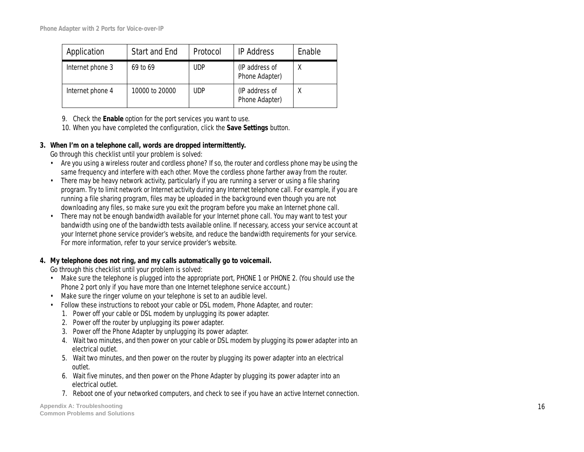| Application      | <b>Start and End</b> | Protocol   | <b>IP Address</b>                | Enable |
|------------------|----------------------|------------|----------------------------------|--------|
| Internet phone 3 | 69 to 69             | <b>UDP</b> | (IP address of<br>Phone Adapter) |        |
| Internet phone 4 | 10000 to 20000       | <b>UDP</b> | (IP address of<br>Phone Adapter) |        |

9. Check the **Enable** option for the port services you want to use.

10. When you have completed the configuration, click the **Save Settings** button.

#### *3. When I'm on a telephone call, words are dropped intermittently.*

Go through this checklist until your problem is solved:

- Are you using a wireless router and cordless phone? If so, the router and cordless phone may be using the same frequency and interfere with each other. Move the cordless phone farther away from the router.
- There may be heavy network activity, particularly if you are running a server or using a file sharing program. Try to limit network or Internet activity during any Internet telephone call. For example, if you are running a file sharing program, files may be uploaded in the background even though you are not downloading any files, so make sure you exit the program before you make an Internet phone call.
- There may not be enough bandwidth available for your Internet phone call. You may want to test your bandwidth using one of the bandwidth tests available online. If necessary, access your service account at your Internet phone service provider's website, and reduce the bandwidth requirements for your service. For more information, refer to your service provider's website.

### *4. My telephone does not ring, and my calls automatically go to voicemail.*

Go through this checklist until your problem is solved:

- Make sure the telephone is plugged into the appropriate port, PHONE 1 or PHONE 2. (You should use the Phone 2 port only if you have more than one Internet telephone service account.)
- Make sure the ringer volume on your telephone is set to an audible level.
- Follow these instructions to reboot your cable or DSL modem, Phone Adapter, and router:
	- 1. Power off your cable or DSL modem by unplugging its power adapter.
	- 2. Power off the router by unplugging its power adapter.
	- 3. Power off the Phone Adapter by unplugging its power adapter.
	- 4. Wait two minutes, and then power on your cable or DSL modem by plugging its power adapter into an electrical outlet.
	- 5. Wait two minutes, and then power on the router by plugging its power adapter into an electrical outlet.
	- 6. Wait five minutes, and then power on the Phone Adapter by plugging its power adapter into an electrical outlet.
	- 7. Reboot one of your networked computers, and check to see if you have an active Internet connection.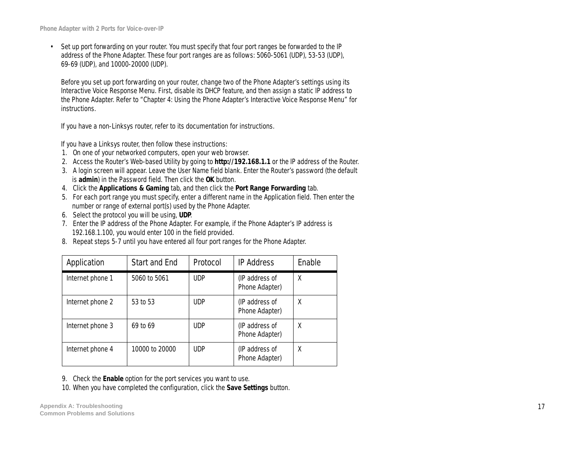• Set up port forwarding on your router. You must specify that four port ranges be forwarded to the IP address of the Phone Adapter. These four port ranges are as follows: 5060-5061 (UDP), 53-53 (UDP), 69-69 (UDP), and 10000-20000 (UDP).

Before you set up port forwarding on your router, change two of the Phone Adapter's settings using its Interactive Voice Response Menu. First, disable its DHCP feature, and then assign a static IP address to the Phone Adapter. Refer to "Chapter 4: Using the Phone Adapter's Interactive Voice Response Menu" for instructions.

If you have a non-Linksys router, refer to its documentation for instructions.

If you have a Linksys router, then follow these instructions:

- 1. On one of your networked computers, open your web browser.
- 2. Access the Router's Web-based Utility by going to **http://192.168.1.1** or the IP address of the Router.
- 3. A login screen will appear. Leave the *User Name* field blank. Enter the Router's password (the default is **admin**) in the *Password* field. Then click the **OK** button.
- 4. Click the **Applications & Gaming** tab, and then click the **Port Range Forwarding** tab.
- 5. For each port range you must specify, enter a different name in the *Application* field. Then enter the number or range of external port(s) used by the Phone Adapter.
- 6. Select the protocol you will be using, **UDP**.
- 7. Enter the IP address of the Phone Adapter. For example, if the Phone Adapter's IP address is 192.168.1.100, you would enter 100 in the field provided.
- 8. Repeat steps 5-7 until you have entered all four port ranges for the Phone Adapter.

| Application      | <b>Start and End</b> | Protocol   | <b>IP Address</b>                | Enable |
|------------------|----------------------|------------|----------------------------------|--------|
| Internet phone 1 | 5060 to 5061         | <b>UDP</b> | (IP address of<br>Phone Adapter) | χ      |
| Internet phone 2 | 53 to 53             | <b>UDP</b> | (IP address of<br>Phone Adapter) | χ      |
| Internet phone 3 | 69 to 69             | <b>UDP</b> | (IP address of<br>Phone Adapter) | χ      |
| Internet phone 4 | 10000 to 20000       | <b>UDP</b> | (IP address of<br>Phone Adapter) | χ      |

9. Check the **Enable** option for the port services you want to use.

10. When you have completed the configuration, click the **Save Settings** button.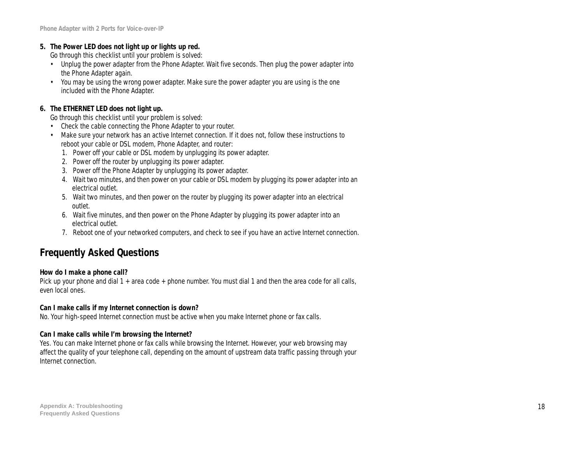### *5. The Power LED does not light up or lights up red.*

Go through this checklist until your problem is solved:

- Unplug the power adapter from the Phone Adapter. Wait five seconds. Then plug the power adapter into the Phone Adapter again.
- You may be using the wrong power adapter. Make sure the power adapter you are using is the one included with the Phone Adapter.

### *6. The ETHERNET LED does not light up.*

Go through this checklist until your problem is solved:

- Check the cable connecting the Phone Adapter to your router.
- Make sure your network has an active Internet connection. If it does not, follow these instructions to reboot your cable or DSL modem, Phone Adapter, and router:
	- 1. Power off your cable or DSL modem by unplugging its power adapter.
	- 2. Power off the router by unplugging its power adapter.
	- 3. Power off the Phone Adapter by unplugging its power adapter.
	- 4. Wait two minutes, and then power on your cable or DSL modem by plugging its power adapter into an electrical outlet.
	- 5. Wait two minutes, and then power on the router by plugging its power adapter into an electrical outlet.
	- 6. Wait five minutes, and then power on the Phone Adapter by plugging its power adapter into an electrical outlet.
	- 7. Reboot one of your networked computers, and check to see if you have an active Internet connection.

## **Frequently Asked Questions**

### *How do I make a phone call?*

Pick up your phone and dial 1 + area code + phone number. You must dial 1 and then the area code for all calls, even local ones.

### *Can I make calls if my Internet connection is down?*

No. Your high-speed Internet connection must be active when you make Internet phone or fax calls.

#### *Can I make calls while I'm browsing the Internet?*

Yes. You can make Internet phone or fax calls while browsing the Internet. However, your web browsing may affect the quality of your telephone call, depending on the amount of upstream data traffic passing through your Internet connection.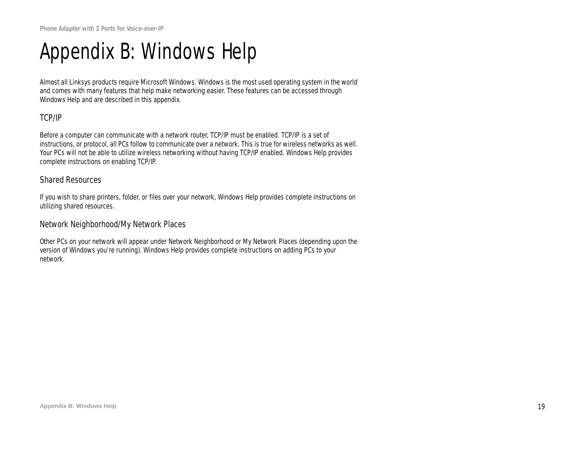# Appendix B: Windows Help

Almost all Linksys products require Microsoft Windows. Windows is the most used operating system in the world and comes with many features that help make networking easier. These features can be accessed through Windows Help and are described in this appendix.

### TCP/IP

Before a computer can communicate with a network router, TCP/IP must be enabled. TCP/IP is a set of instructions, or protocol, all PCs follow to communicate over a network. This is true for wireless networks as well. Your PCs will not be able to utilize wireless networking without having TCP/IP enabled. Windows Help provides complete instructions on enabling TCP/IP.

### Shared Resources

If you wish to share printers, folder, or files over your network, Windows Help provides complete instructions on utilizing shared resources.

### Network Neighborhood/My Network Places

Other PCs on your network will appear under Network Neighborhood or My Network Places (depending upon the version of Windows you're running). Windows Help provides complete instructions on adding PCs to your network.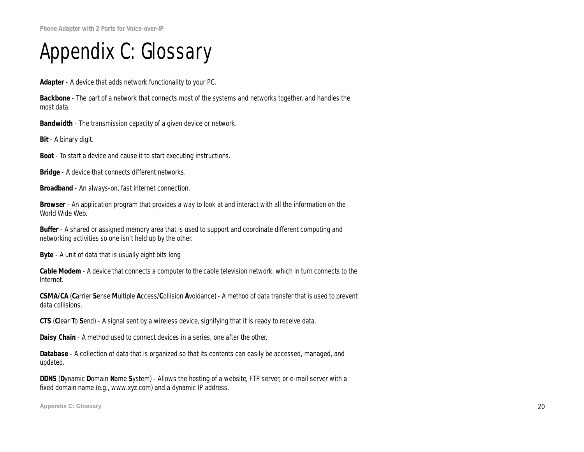# Appendix C: Glossary

**Adapter** - A device that adds network functionality to your PC.

**Backbone** - The part of a network that connects most of the systems and networks together, and handles the most data.

**Bandwidth** - The transmission capacity of a given device or network.

**Bit** - A binary digit.

**Boot** - To start a device and cause it to start executing instructions.

**Bridge** - A device that connects different networks.

**Broadband** - An always-on, fast Internet connection.

**Browser** - An application program that provides a way to look at and interact with all the information on the World Wide Web.

**Buffer** - A shared or assigned memory area that is used to support and coordinate different computing and networking activities so one isn't held up by the other.

**Byte** - A unit of data that is usually eight bits long

**Cable Modem** - A device that connects a computer to the cable television network, which in turn connects to the Internet.

**CSMA/CA** (**C**arrier **S**ense **M**ultiple **A**ccess/**C**ollision **A**voidance) - A method of data transfer that is used to prevent data collisions.

**CTS** (**C**lear **T**o **S**end) - A signal sent by a wireless device, signifying that it is ready to receive data.

**Daisy Chain** - A method used to connect devices in a series, one after the other.

**Database** - A collection of data that is organized so that its contents can easily be accessed, managed, and updated.

**DDNS** (**D**ynamic **D**omain **N**ame **S**ystem) - Allows the hosting of a website, FTP server, or e-mail server with a fixed domain name (e.g., www.xyz.com) and a dynamic IP address.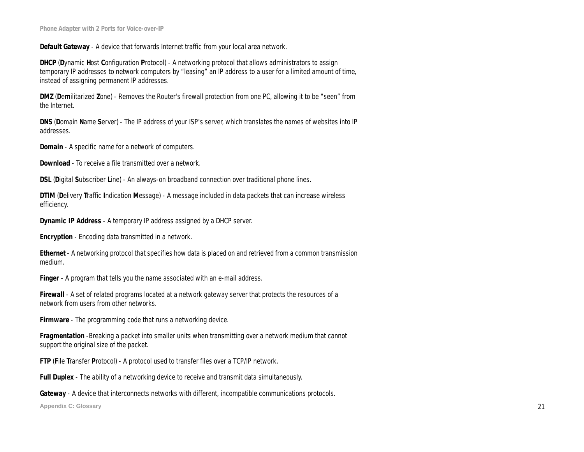**Default Gateway** - A device that forwards Internet traffic from your local area network.

**DHCP** (**D**ynamic **H**ost **C**onfiguration **P**rotocol) - A networking protocol that allows administrators to assign temporary IP addresses to network computers by "leasing" an IP address to a user for a limited amount of time, instead of assigning permanent IP addresses.

**DMZ** (**D**e**m**ilitarized **Z**one) - Removes the Router's firewall protection from one PC, allowing it to be "seen" from the Internet.

**DNS** (**D**omain **N**ame **S**erver) - The IP address of your ISP's server, which translates the names of websites into IP addresses.

**Domain** - A specific name for a network of computers.

**Download** - To receive a file transmitted over a network.

**DSL** (**D**igital **S**ubscriber **L**ine) - An always-on broadband connection over traditional phone lines.

**DTIM** (**D**elivery **T**raffic **I**ndication **M**essage) - A message included in data packets that can increase wireless efficiency.

**Dynamic IP Address** - A temporary IP address assigned by a DHCP server.

**Encryption** - Encoding data transmitted in a network.

**Ethernet** - A networking protocol that specifies how data is placed on and retrieved from a common transmission medium.

**Finger** - A program that tells you the name associated with an e-mail address.

**Firewall** - A set of related programs located at a network gateway server that protects the resources of a network from users from other networks.

**Firmware** - The programming code that runs a networking device.

**Fragmentation** -Breaking a packet into smaller units when transmitting over a network medium that cannot support the original size of the packet.

**FTP** (**F**ile **T**ransfer **P**rotocol) - A protocol used to transfer files over a TCP/IP network.

**Full Duplex** - The ability of a networking device to receive and transmit data simultaneously.

**Gateway** - A device that interconnects networks with different, incompatible communications protocols.

**Appendix C: Glossary** 21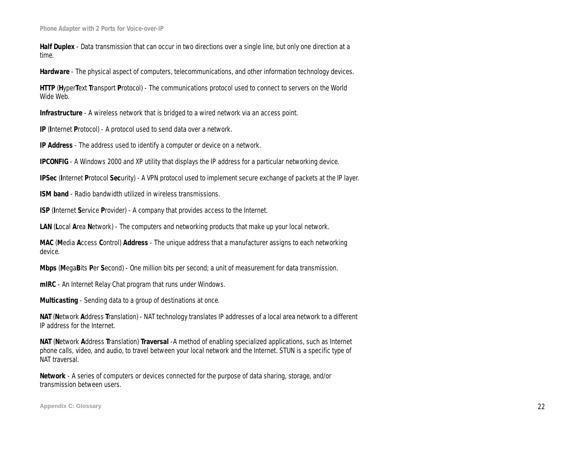**Half Duplex** - Data transmission that can occur in two directions over a single line, but only one direction at a time.

**Hardware** - The physical aspect of computers, telecommunications, and other information technology devices.

**HTTP** (**H**yper**T**ext **T**ransport **P**rotocol) - The communications protocol used to connect to servers on the World Wide Web.

**Infrastructure** - A wireless network that is bridged to a wired network via an access point.

**IP** (**I**nternet **P**rotocol) - A protocol used to send data over a network.

**IP Address** - The address used to identify a computer or device on a network.

**IPCONFIG** - A Windows 2000 and XP utility that displays the IP address for a particular networking device.

**IPSec** (**I**nternet **P**rotocol **Sec**urity) - A VPN protocol used to implement secure exchange of packets at the IP layer.

**ISM band** - Radio bandwidth utilized in wireless transmissions.

**ISP** (**I**nternet **S**ervice **P**rovider) - A company that provides access to the Internet.

**LAN** (**L**ocal **A**rea **N**etwork) - The computers and networking products that make up your local network.

**MAC** (**M**edia **A**ccess **C**ontrol) **Address** - The unique address that a manufacturer assigns to each networking device.

**Mbps** (**M**ega**B**its **P**er **S**econd) - One million bits per second; a unit of measurement for data transmission.

**mIRC** - An Internet Relay Chat program that runs under Windows.

**Multicasting** - Sending data to a group of destinations at once.

**NAT** (**N**etwork **A**ddress **T**ranslation) - NAT technology translates IP addresses of a local area network to a different IP address for the Internet.

**NAT** (**N**etwork **A**ddress **T**ranslation) **Traversal** -A method of enabling specialized applications, such as Internet phone calls, video, and audio, to travel between your local network and the Internet. STUN is a specific type of NAT traversal.

**Network** - A series of computers or devices connected for the purpose of data sharing, storage, and/or transmission between users.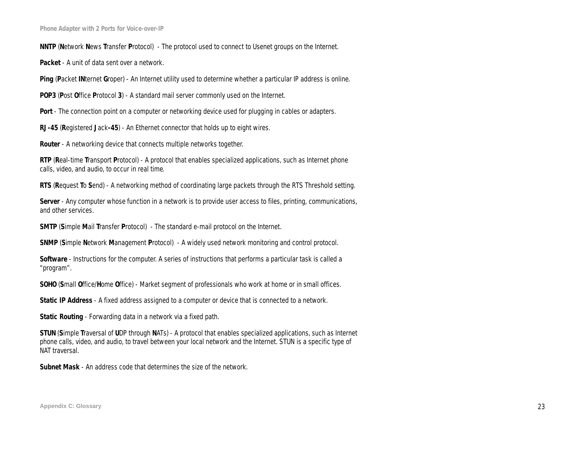**NNTP** (**N**etwork **N**ews **T**ransfer **P**rotocol) - The protocol used to connect to Usenet groups on the Internet.

**Packet** - A unit of data sent over a network.

**Ping** (**P**acket **IN**ternet **G**roper) - An Internet utility used to determine whether a particular IP address is online.

**POP3** (**P**ost **O**ffice **P**rotocol **3**) - A standard mail server commonly used on the Internet.

**Port** - The connection point on a computer or networking device used for plugging in cables or adapters.

**RJ-45** (**R**egistered **J**ack**-45**) - An Ethernet connector that holds up to eight wires.

**Router** - A networking device that connects multiple networks together.

**RTP** (**R**eal-time **T**ransport **P**rotocol) - A protocol that enables specialized applications, such as Internet phone calls, video, and audio, to occur in real time.

**RTS** (**R**equest **T**o **S**end) - A networking method of coordinating large packets through the RTS Threshold setting.

**Server** - Any computer whose function in a network is to provide user access to files, printing, communications, and other services.

**SMTP** (**S**imple **M**ail **T**ransfer **P**rotocol) - The standard e-mail protocol on the Internet.

**SNMP** (**S**imple **N**etwork **M**anagement **P**rotocol) - A widely used network monitoring and control protocol.

**Software** - Instructions for the computer. A series of instructions that performs a particular task is called a "program".

**SOHO** (**S**mall **O**ffice/**H**ome **O**ffice) - Market segment of professionals who work at home or in small offices.

**Static IP Address** - A fixed address assigned to a computer or device that is connected to a network.

**Static Routing** - Forwarding data in a network via a fixed path.

**STUN** (**S**imple **T**raversal of **U**DP through **N**ATs) - A protocol that enables specialized applications, such as Internet phone calls, video, and audio, to travel between your local network and the Internet. STUN is a specific type of NAT traversal.

**Subnet Mask** - An address code that determines the size of the network.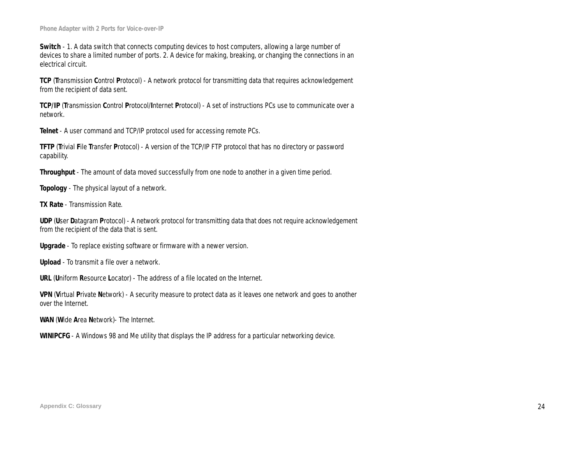**Switch** - 1. A data switch that connects computing devices to host computers, allowing a large number of devices to share a limited number of ports. 2. A device for making, breaking, or changing the connections in an electrical circuit.

**TCP** (**T**ransmission **C**ontrol **P**rotocol) - A network protocol for transmitting data that requires acknowledgement from the recipient of data sent.

**TCP/IP** (**T**ransmission **C**ontrol **P**rotocol/**I**nternet **P**rotocol) - A set of instructions PCs use to communicate over a network.

**Telnet** - A user command and TCP/IP protocol used for accessing remote PCs.

**TFTP** (**T**rivial **F**ile **T**ransfer **P**rotocol) - A version of the TCP/IP FTP protocol that has no directory or password capability.

**Throughput** - The amount of data moved successfully from one node to another in a given time period.

**Topology** - The physical layout of a network.

**TX Rate** - Transmission Rate.

**UDP** (**U**ser **D**atagram **P**rotocol) - A network protocol for transmitting data that does not require acknowledgement from the recipient of the data that is sent.

**Upgrade** - To replace existing software or firmware with a newer version.

**Upload** - To transmit a file over a network.

**URL** (**U**niform **R**esource **L**ocator) - The address of a file located on the Internet.

**VPN** (**V**irtual **P**rivate **N**etwork) - A security measure to protect data as it leaves one network and goes to another over the Internet.

**WAN** (**W**ide **A**rea **N**etwork)- The Internet.

**WINIPCFG** - A Windows 98 and Me utility that displays the IP address for a particular networking device.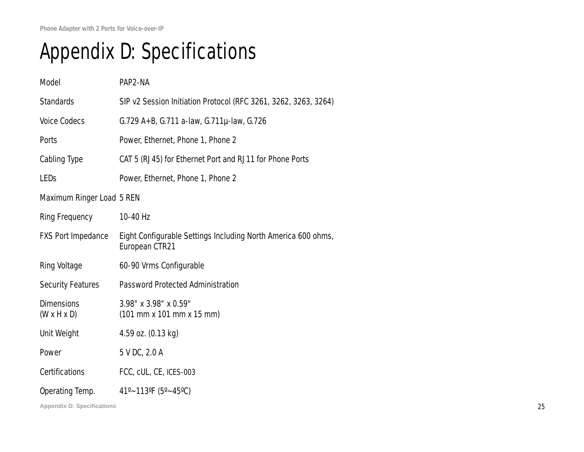# Appendix D: Specifications

| Model                                        | PAP2-NA                                                                         |
|----------------------------------------------|---------------------------------------------------------------------------------|
| <b>Standards</b>                             | SIP v2 Session Initiation Protocol (RFC 3261, 3262, 3263, 3264)                 |
| <b>Voice Codecs</b>                          | G.729 A+B, G.711 a-law, G.711µ-law, G.726                                       |
| Ports                                        | Power, Ethernet, Phone 1, Phone 2                                               |
| <b>Cabling Type</b>                          | CAT 5 (RJ45) for Ethernet Port and RJ11 for Phone Ports                         |
| <b>LEDs</b>                                  | Power, Ethernet, Phone 1, Phone 2                                               |
| Maximum Ringer Load 5 REN                    |                                                                                 |
| <b>Ring Frequency</b>                        | 10-40 Hz                                                                        |
| <b>FXS Port Impedance</b>                    | Eight Configurable Settings Including North America 600 ohms,<br>European CTR21 |
| <b>Ring Voltage</b>                          | 60-90 Vrms Configurable                                                         |
| <b>Security Features</b>                     | <b>Password Protected Administration</b>                                        |
| <b>Dimensions</b><br>$(W \times H \times D)$ | 3.98" x 3.98" x 0.59"<br>(101 mm x 101 mm x 15 mm)                              |
| Unit Weight                                  | 4.59 oz. (0.13 kg)                                                              |
| Power                                        | 5 V DC, 2.0 A                                                                   |
| <b>Certifications</b>                        | FCC, cUL, CE, ICES-003                                                          |
| Operating Temp.                              | 41° ~ 113° F ( $5^{\circ}$ ~ 45° C)                                             |

**Appendix D: Specifications** 25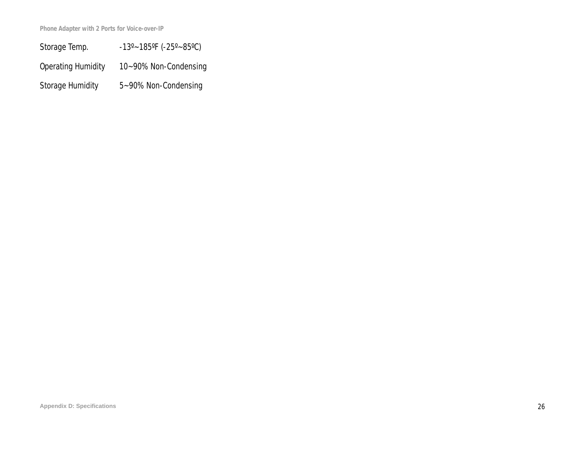- Storage Temp. -13°~185°F (-25°~85°C)
- Operating Humidity 10~90% Non-Condensing
- Storage Humidity 5~90% Non-Condensing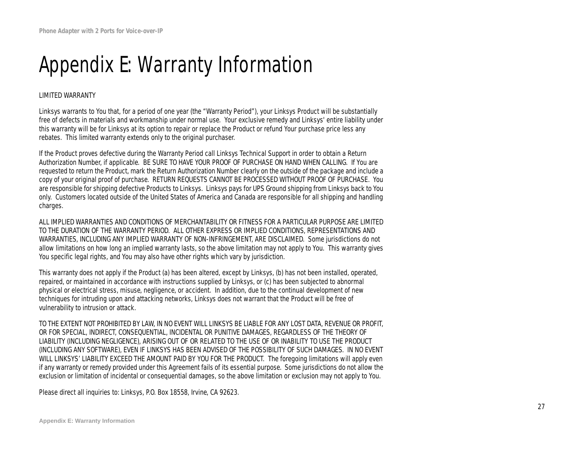# Appendix E: Warranty Information

#### LIMITED WARRANTY

Linksys warrants to You that, for a period of one year (the "Warranty Period"), your Linksys Product will be substantially free of defects in materials and workmanship under normal use. Your exclusive remedy and Linksys' entire liability under this warranty will be for Linksys at its option to repair or replace the Product or refund Your purchase price less any rebates. This limited warranty extends only to the original purchaser.

If the Product proves defective during the Warranty Period call Linksys Technical Support in order to obtain a Return Authorization Number, if applicable. BE SURE TO HAVE YOUR PROOF OF PURCHASE ON HAND WHEN CALLING. If You are requested to return the Product, mark the Return Authorization Number clearly on the outside of the package and include a copy of your original proof of purchase. RETURN REQUESTS CANNOT BE PROCESSED WITHOUT PROOF OF PURCHASE. You are responsible for shipping defective Products to Linksys. Linksys pays for UPS Ground shipping from Linksys back to You only. Customers located outside of the United States of America and Canada are responsible for all shipping and handling charges.

ALL IMPLIED WARRANTIES AND CONDITIONS OF MERCHANTABILITY OR FITNESS FOR A PARTICULAR PURPOSE ARE LIMITED TO THE DURATION OF THE WARRANTY PERIOD. ALL OTHER EXPRESS OR IMPLIED CONDITIONS, REPRESENTATIONS AND WARRANTIES, INCLUDING ANY IMPLIED WARRANTY OF NON-INFRINGEMENT, ARE DISCLAIMED. Some jurisdictions do not allow limitations on how long an implied warranty lasts, so the above limitation may not apply to You. This warranty gives You specific legal rights, and You may also have other rights which vary by jurisdiction.

This warranty does not apply if the Product (a) has been altered, except by Linksys, (b) has not been installed, operated, repaired, or maintained in accordance with instructions supplied by Linksys, or (c) has been subjected to abnormal physical or electrical stress, misuse, negligence, or accident. In addition, due to the continual development of new techniques for intruding upon and attacking networks, Linksys does not warrant that the Product will be free of vulnerability to intrusion or attack.

TO THE EXTENT NOT PROHIBITED BY LAW, IN NO EVENT WILL LINKSYS BE LIABLE FOR ANY LOST DATA, REVENUE OR PROFIT, OR FOR SPECIAL, INDIRECT, CONSEQUENTIAL, INCIDENTAL OR PUNITIVE DAMAGES, REGARDLESS OF THE THEORY OF LIABILITY (INCLUDING NEGLIGENCE), ARISING OUT OF OR RELATED TO THE USE OF OR INABILITY TO USE THE PRODUCT (INCLUDING ANY SOFTWARE), EVEN IF LINKSYS HAS BEEN ADVISED OF THE POSSIBILITY OF SUCH DAMAGES. IN NO EVENT WILL LINKSYS' LIABILITY EXCEED THE AMOUNT PAID BY YOU FOR THE PRODUCT. The foregoing limitations will apply even if any warranty or remedy provided under this Agreement fails of its essential purpose. Some jurisdictions do not allow the exclusion or limitation of incidental or consequential damages, so the above limitation or exclusion may not apply to You.

Please direct all inquiries to: Linksys, P.O. Box 18558, Irvine, CA 92623.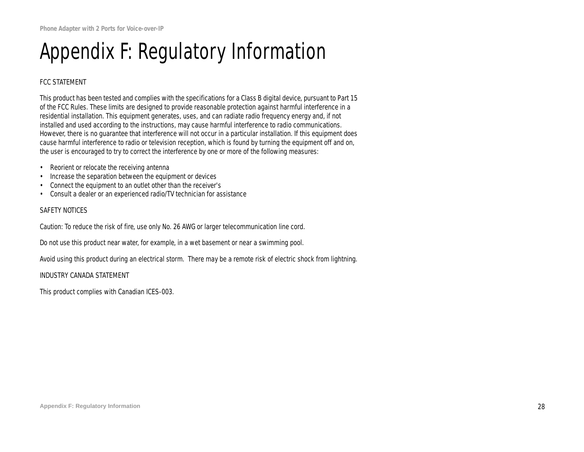# Appendix F: Regulatory Information

### FCC STATEMENT

This product has been tested and complies with the specifications for a Class B digital device, pursuant to Part 15 of the FCC Rules. These limits are designed to provide reasonable protection against harmful interference in a residential installation. This equipment generates, uses, and can radiate radio frequency energy and, if not installed and used according to the instructions, may cause harmful interference to radio communications. However, there is no guarantee that interference will not occur in a particular installation. If this equipment does cause harmful interference to radio or television reception, which is found by turning the equipment off and on, the user is encouraged to try to correct the interference by one or more of the following measures:

- Reorient or relocate the receiving antenna
- Increase the separation between the equipment or devices
- Connect the equipment to an outlet other than the receiver's
- Consult a dealer or an experienced radio/TV technician for assistance

#### SAFETY NOTICES

Caution: To reduce the risk of fire, use only No. 26 AWG or larger telecommunication line cord.

Do not use this product near water, for example, in a wet basement or near a swimming pool.

Avoid using this product during an electrical storm. There may be a remote risk of electric shock from lightning.

#### INDUSTRY CANADA STATEMENT

This product complies with Canadian ICES-003.